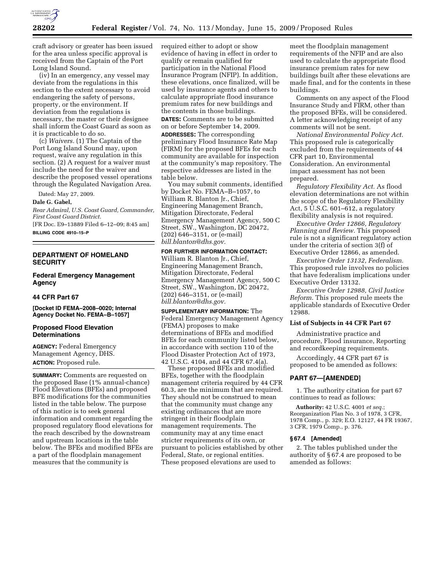

craft advisory or greater has been issued for the area unless specific approval is received from the Captain of the Port Long Island Sound.

(iv) In an emergency, any vessel may deviate from the regulations in this section to the extent necessary to avoid endangering the safety of persons, property, or the environment. If deviation from the regulations is necessary, the master or their designee shall inform the Coast Guard as soon as it is practicable to do so.

(c) *Waivers.* (1) The Captain of the Port Long Island Sound may, upon request, waive any regulation in this section. (2) A request for a waiver must include the need for the waiver and describe the proposed vessel operations through the Regulated Navigation Area.

Dated: May 27, 2009.

### **Dale G. Gabel,**

*Rear Admiral, U.S. Coast Guard, Commander, First Coast Guard District.* 

[FR Doc. E9–13889 Filed 6–12–09; 8:45 am]

**BILLING CODE 4910–15–P** 

# **DEPARTMENT OF HOMELAND SECURITY**

**Federal Emergency Management Agency** 

# **44 CFR Part 67**

**[Docket ID FEMA–2008–0020; Internal Agency Docket No. FEMA–B–1057]** 

# **Proposed Flood Elevation Determinations**

**AGENCY:** Federal Emergency Management Agency, DHS. **ACTION:** Proposed rule.

**SUMMARY:** Comments are requested on the proposed Base (1% annual-chance) Flood Elevations (BFEs) and proposed BFE modifications for the communities listed in the table below. The purpose of this notice is to seek general information and comment regarding the proposed regulatory flood elevations for the reach described by the downstream and upstream locations in the table below. The BFEs and modified BFEs are a part of the floodplain management measures that the community is

required either to adopt or show evidence of having in effect in order to qualify or remain qualified for participation in the National Flood Insurance Program (NFIP). In addition, these elevations, once finalized, will be used by insurance agents and others to calculate appropriate flood insurance premium rates for new buildings and the contents in those buildings.

**DATES:** Comments are to be submitted on or before September 14, 2009. **ADDRESSES:** The corresponding preliminary Flood Insurance Rate Map (FIRM) for the proposed BFEs for each community are available for inspection at the community's map repository. The respective addresses are listed in the table below.

You may submit comments, identified by Docket No. FEMA–B–1057, to William R. Blanton Jr., Chief, Engineering Management Branch, Mitigation Directorate, Federal Emergency Management Agency, 500 C Street, SW., Washington, DC 20472, (202) 646–3151, or (e-mail) *bill.blanton@dhs.gov.* 

# **FOR FURTHER INFORMATION CONTACT:**

William R. Blanton Jr., Chief, Engineering Management Branch, Mitigation Directorate, Federal Emergency Management Agency, 500 C Street, SW., Washington, DC 20472, (202) 646–3151, or (e-mail) *bill.blanton@dhs.gov.* 

# **SUPPLEMENTARY INFORMATION:** The

Federal Emergency Management Agency (FEMA) proposes to make determinations of BFEs and modified BFEs for each community listed below, in accordance with section 110 of the Flood Disaster Protection Act of 1973, 42 U.S.C. 4104, and 44 CFR 67.4(a).

These proposed BFEs and modified BFEs, together with the floodplain management criteria required by 44 CFR 60.3, are the minimum that are required. They should not be construed to mean that the community must change any existing ordinances that are more stringent in their floodplain management requirements. The community may at any time enact stricter requirements of its own, or pursuant to policies established by other Federal, State, or regional entities. These proposed elevations are used to

meet the floodplain management requirements of the NFIP and are also used to calculate the appropriate flood insurance premium rates for new buildings built after these elevations are made final, and for the contents in these buildings.

Comments on any aspect of the Flood Insurance Study and FIRM, other than the proposed BFEs, will be considered. A letter acknowledging receipt of any comments will not be sent.

*National Environmental Policy Act.*  This proposed rule is categorically excluded from the requirements of 44 CFR part 10, Environmental Consideration. An environmental impact assessment has not been prepared.

*Regulatory Flexibility Act.* As flood elevation determinations are not within the scope of the Regulatory Flexibility Act, 5 U.S.C. 601–612, a regulatory flexibility analysis is not required.

*Executive Order 12866, Regulatory Planning and Review.* This proposed rule is not a significant regulatory action under the criteria of section 3(f) of Executive Order 12866, as amended.

*Executive Order 13132, Federalism.*  This proposed rule involves no policies that have federalism implications under Executive Order 13132.

*Executive Order 12988, Civil Justice Reform.* This proposed rule meets the applicable standards of Executive Order 12988.

# **List of Subjects in 44 CFR Part 67**

Administrative practice and procedure, Flood insurance, Reporting and recordkeeping requirements.

Accordingly, 44 CFR part 67 is proposed to be amended as follows:

#### **PART 67—[AMENDED]**

1. The authority citation for part 67 continues to read as follows:

**Authority:** 42 U.S.C. 4001 *et seq.*; Reorganization Plan No. 3 of 1978, 3 CFR, 1978 Comp., p. 329; E.O. 12127, 44 FR 19367, 3 CFR, 1979 Comp., p. 376.

# **§ 67.4 [Amended]**

2. The tables published under the authority of § 67.4 are proposed to be amended as follows: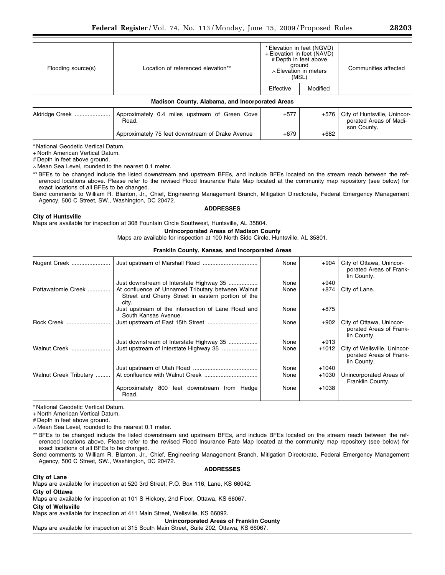| Flooding source(s)                              | Location of referenced elevation**                      | * Elevation in feet (NGVD)<br>+ Elevation in feet (NAVD)<br># Depth in feet above<br>ground<br>$\land$ Elevation in meters<br>(MSL) |          | Communities affected                                                  |  |  |  |  |
|-------------------------------------------------|---------------------------------------------------------|-------------------------------------------------------------------------------------------------------------------------------------|----------|-----------------------------------------------------------------------|--|--|--|--|
|                                                 |                                                         | Effective                                                                                                                           | Modified |                                                                       |  |  |  |  |
| Madison County, Alabama, and Incorporated Areas |                                                         |                                                                                                                                     |          |                                                                       |  |  |  |  |
| Aldridge Creek                                  | Approximately 0.4 miles upstream of Green Cove<br>Road. | $+577$                                                                                                                              | $+576$   | City of Huntsville, Unincor-<br>porated Areas of Madi-<br>son County. |  |  |  |  |
|                                                 | Approximately 75 feet downstream of Drake Avenue        | $+679$                                                                                                                              | $+682$   |                                                                       |  |  |  |  |

\* National Geodetic Vertical Datum.

+ North American Vertical Datum.

# Depth in feet above ground.

∧ Mean Sea Level, rounded to the nearest 0.1 meter.

\*\* BFEs to be changed include the listed downstream and upstream BFEs, and include BFEs located on the stream reach between the referenced locations above. Please refer to the revised Flood Insurance Rate Map located at the community map repository (see below) for exact locations of all BFEs to be changed.

Send comments to William R. Blanton, Jr., Chief, Engineering Management Branch, Mitigation Directorate, Federal Emergency Management Agency, 500 C Street, SW., Washington, DC 20472.

#### **ADDRESSES**

#### **City of Huntsville**

Maps are available for inspection at 308 Fountain Circle Southwest, Huntsville, AL 35804.

#### **Unincorporated Areas of Madison County**

Maps are available for inspection at 100 North Side Circle, Huntsville, AL 35801.

# **Franklin County, Kansas, and Incorporated Areas**

| Nugent Creek           |                                                                                                                  | None | +904    | City of Ottawa, Unincor-<br>porated Areas of Frank-<br>lin County.     |
|------------------------|------------------------------------------------------------------------------------------------------------------|------|---------|------------------------------------------------------------------------|
|                        | Just downstream of Interstate Highway 35                                                                         | None | $+940$  |                                                                        |
| Pottawatomie Creek     | At confluence of Unnamed Tributary between Walnut<br>Street and Cherry Street in eastern portion of the<br>city. | None | +874    | City of Lane.                                                          |
|                        | Just upstream of the intersection of Lane Road and<br>South Kansas Avenue.                                       | None | $+875$  |                                                                        |
| Rock Creek             |                                                                                                                  | None | $+902$  | City of Ottawa, Unincor-<br>porated Areas of Frank-<br>lin County.     |
|                        | Just downstream of Interstate Highway 35                                                                         | None | $+913$  |                                                                        |
| Walnut Creek           |                                                                                                                  | None | $+1012$ | City of Wellsville, Unincor-<br>porated Areas of Frank-<br>lin County. |
|                        |                                                                                                                  | None | $+1040$ |                                                                        |
| Walnut Creek Tributary |                                                                                                                  | None | $+1030$ | Unincorporated Areas of<br>Franklin County.                            |
|                        | Approximately 800 feet downstream from Hedge<br>Road.                                                            | None | $+1038$ |                                                                        |

\* National Geodetic Vertical Datum.

+ North American Vertical Datum.

# Depth in feet above ground.

∧ Mean Sea Level, rounded to the nearest 0.1 meter.

\*\* BFEs to be changed include the listed downstream and upstream BFEs, and include BFEs located on the stream reach between the referenced locations above. Please refer to the revised Flood Insurance Rate Map located at the community map repository (see below) for exact locations of all BFEs to be changed.

Send comments to William R. Blanton, Jr., Chief, Engineering Management Branch, Mitigation Directorate, Federal Emergency Management Agency, 500 C Street, SW., Washington, DC 20472.

**City of Lane** 

**ADDRESSES** 

Maps are available for inspection at 520 3rd Street, P.O. Box 116, Lane, KS 66042.

**City of Ottawa** 

Maps are available for inspection at 101 S Hickory, 2nd Floor, Ottawa, KS 66067.

**City of Wellsville** 

Maps are available for inspection at 411 Main Street, Wellsville, KS 66092.

**Unincorporated Areas of Franklin County** 

Maps are available for inspection at 315 South Main Street, Suite 202, Ottawa, KS 66067.